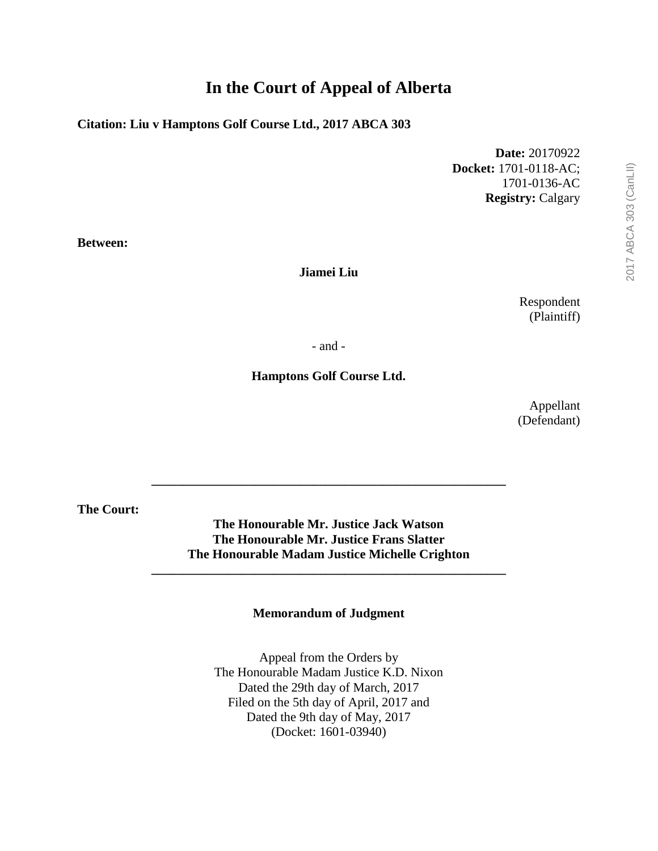# **In the Court of Appeal of Alberta**

## **Citation: Liu v Hamptons Golf Course Ltd., 2017 ABCA 303**

**Date:** 20170922 **Docket:** 1701-0118-AC; 1701-0136-AC **Registry:** Calgary

**Between:**

#### **Jiamei Liu**

Respondent (Plaintiff)

- and -

#### **Hamptons Golf Course Ltd.**

Appellant (Defendant)

**The Court:**

**The Honourable Mr. Justice Jack Watson The Honourable Mr. Justice Frans Slatter The Honourable Madam Justice Michelle Crighton**

**\_\_\_\_\_\_\_\_\_\_\_\_\_\_\_\_\_\_\_\_\_\_\_\_\_\_\_\_\_\_\_\_\_\_\_\_\_\_\_\_\_\_\_\_\_\_\_\_\_\_\_\_\_\_\_**

**\_\_\_\_\_\_\_\_\_\_\_\_\_\_\_\_\_\_\_\_\_\_\_\_\_\_\_\_\_\_\_\_\_\_\_\_\_\_\_\_\_\_\_\_\_\_\_\_\_\_\_\_\_\_\_**

#### **Memorandum of Judgment**

Appeal from the Orders by The Honourable Madam Justice K.D. Nixon Dated the 29th day of March, 2017 Filed on the 5th day of April, 2017 and Dated the 9th day of May, 2017 (Docket: 1601-03940)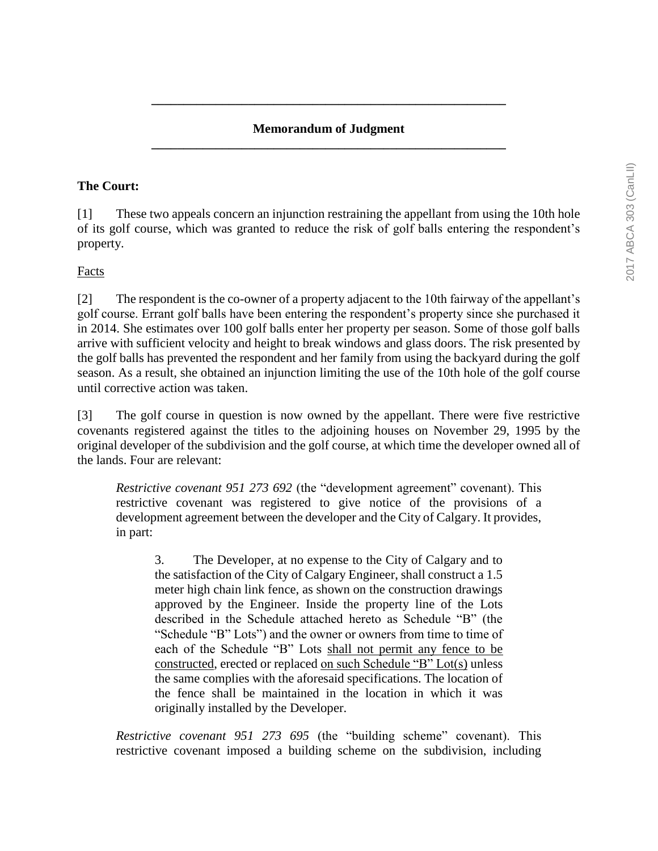## **Memorandum of Judgment \_\_\_\_\_\_\_\_\_\_\_\_\_\_\_\_\_\_\_\_\_\_\_\_\_\_\_\_\_\_\_\_\_\_\_\_\_\_\_\_\_\_\_\_\_\_\_\_\_\_\_\_\_\_\_**

**\_\_\_\_\_\_\_\_\_\_\_\_\_\_\_\_\_\_\_\_\_\_\_\_\_\_\_\_\_\_\_\_\_\_\_\_\_\_\_\_\_\_\_\_\_\_\_\_\_\_\_\_\_\_\_**

#### **The Court:**

[1] These two appeals concern an injunction restraining the appellant from using the 10th hole of its golf course, which was granted to reduce the risk of golf balls entering the respondent's property.

#### Facts

[2] The respondent is the co-owner of a property adjacent to the 10th fairway of the appellant's golf course. Errant golf balls have been entering the respondent's property since she purchased it in 2014. She estimates over 100 golf balls enter her property per season. Some of those golf balls arrive with sufficient velocity and height to break windows and glass doors. The risk presented by the golf balls has prevented the respondent and her family from using the backyard during the golf season. As a result, she obtained an injunction limiting the use of the 10th hole of the golf course until corrective action was taken.

[3] The golf course in question is now owned by the appellant. There were five restrictive covenants registered against the titles to the adjoining houses on November 29, 1995 by the original developer of the subdivision and the golf course, at which time the developer owned all of the lands. Four are relevant:

*Restrictive covenant 951 273 692* (the "development agreement" covenant). This restrictive covenant was registered to give notice of the provisions of a development agreement between the developer and the City of Calgary. It provides, in part:

3. The Developer, at no expense to the City of Calgary and to the satisfaction of the City of Calgary Engineer, shall construct a 1.5 meter high chain link fence, as shown on the construction drawings approved by the Engineer. Inside the property line of the Lots described in the Schedule attached hereto as Schedule "B" (the "Schedule "B" Lots") and the owner or owners from time to time of each of the Schedule "B" Lots shall not permit any fence to be constructed, erected or replaced on such Schedule "B" Lot(s) unless the same complies with the aforesaid specifications. The location of the fence shall be maintained in the location in which it was originally installed by the Developer.

*Restrictive covenant 951 273 695* (the "building scheme" covenant). This restrictive covenant imposed a building scheme on the subdivision, including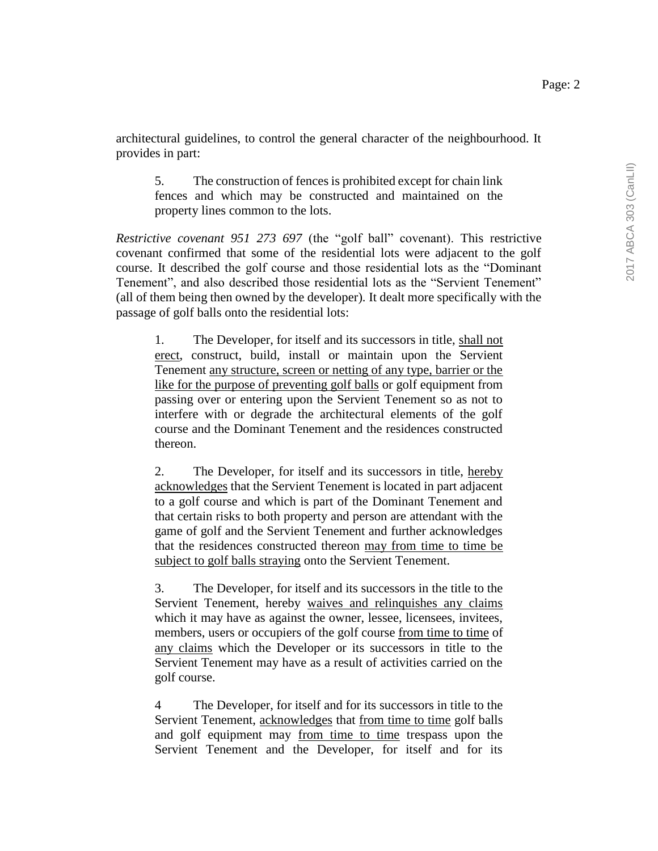architectural guidelines, to control the general character of the neighbourhood. It provides in part:

5. The construction of fences is prohibited except for chain link fences and which may be constructed and maintained on the property lines common to the lots.

*Restrictive covenant 951 273 697* (the "golf ball" covenant). This restrictive covenant confirmed that some of the residential lots were adjacent to the golf course. It described the golf course and those residential lots as the "Dominant Tenement", and also described those residential lots as the "Servient Tenement" (all of them being then owned by the developer). It dealt more specifically with the passage of golf balls onto the residential lots:

1. The Developer, for itself and its successors in title, shall not erect, construct, build, install or maintain upon the Servient Tenement any structure, screen or netting of any type, barrier or the like for the purpose of preventing golf balls or golf equipment from passing over or entering upon the Servient Tenement so as not to interfere with or degrade the architectural elements of the golf course and the Dominant Tenement and the residences constructed thereon.

2. The Developer, for itself and its successors in title, hereby acknowledges that the Servient Tenement is located in part adjacent to a golf course and which is part of the Dominant Tenement and that certain risks to both property and person are attendant with the game of golf and the Servient Tenement and further acknowledges that the residences constructed thereon may from time to time be subject to golf balls straying onto the Servient Tenement.

3. The Developer, for itself and its successors in the title to the Servient Tenement, hereby waives and relinquishes any claims which it may have as against the owner, lessee, licensees, invitees, members, users or occupiers of the golf course from time to time of any claims which the Developer or its successors in title to the Servient Tenement may have as a result of activities carried on the golf course.

4 The Developer, for itself and for its successors in title to the Servient Tenement, acknowledges that from time to time golf balls and golf equipment may from time to time trespass upon the Servient Tenement and the Developer, for itself and for its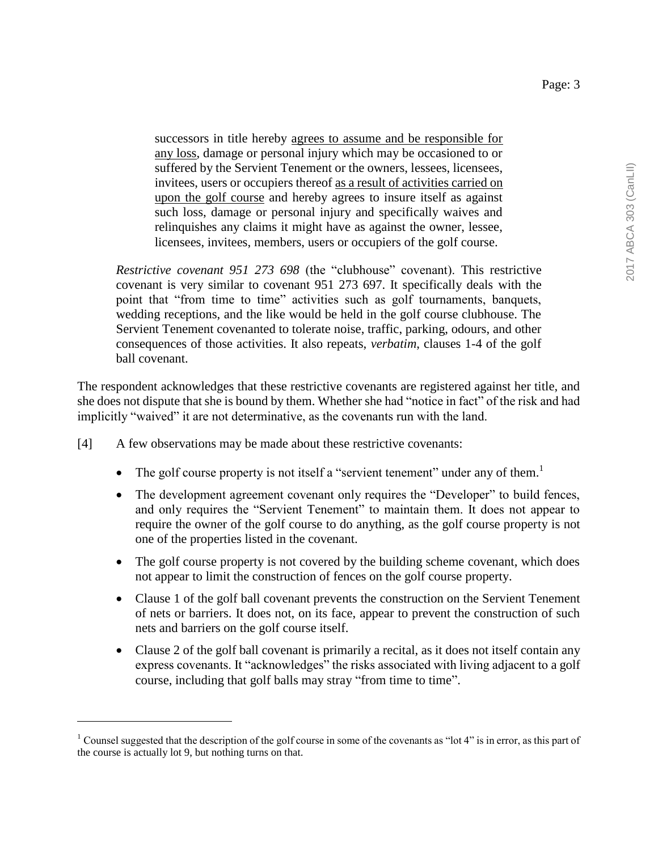successors in title hereby agrees to assume and be responsible for any loss, damage or personal injury which may be occasioned to or suffered by the Servient Tenement or the owners, lessees, licensees, invitees, users or occupiers thereof as a result of activities carried on upon the golf course and hereby agrees to insure itself as against such loss, damage or personal injury and specifically waives and relinquishes any claims it might have as against the owner, lessee, licensees, invitees, members, users or occupiers of the golf course.

*Restrictive covenant 951 273 698* (the "clubhouse" covenant). This restrictive covenant is very similar to covenant 951 273 697. It specifically deals with the point that "from time to time" activities such as golf tournaments, banquets, wedding receptions, and the like would be held in the golf course clubhouse. The Servient Tenement covenanted to tolerate noise, traffic, parking, odours, and other consequences of those activities. It also repeats, *verbatim*, clauses 1-4 of the golf ball covenant.

The respondent acknowledges that these restrictive covenants are registered against her title, and she does not dispute that she is bound by them. Whether she had "notice in fact" of the risk and had implicitly "waived" it are not determinative, as the covenants run with the land.

[4] A few observations may be made about these restrictive covenants:

 $\overline{a}$ 

- The golf course property is not itself a "servient tenement" under any of them.<sup>1</sup>
- The development agreement covenant only requires the "Developer" to build fences, and only requires the "Servient Tenement" to maintain them. It does not appear to require the owner of the golf course to do anything, as the golf course property is not one of the properties listed in the covenant.
- The golf course property is not covered by the building scheme covenant, which does not appear to limit the construction of fences on the golf course property.
- Clause 1 of the golf ball covenant prevents the construction on the Servient Tenement of nets or barriers. It does not, on its face, appear to prevent the construction of such nets and barriers on the golf course itself.
- Clause 2 of the golf ball covenant is primarily a recital, as it does not itself contain any express covenants. It "acknowledges" the risks associated with living adjacent to a golf course, including that golf balls may stray "from time to time".

<sup>&</sup>lt;sup>1</sup> Counsel suggested that the description of the golf course in some of the covenants as "lot  $4$ " is in error, as this part of the course is actually lot 9, but nothing turns on that.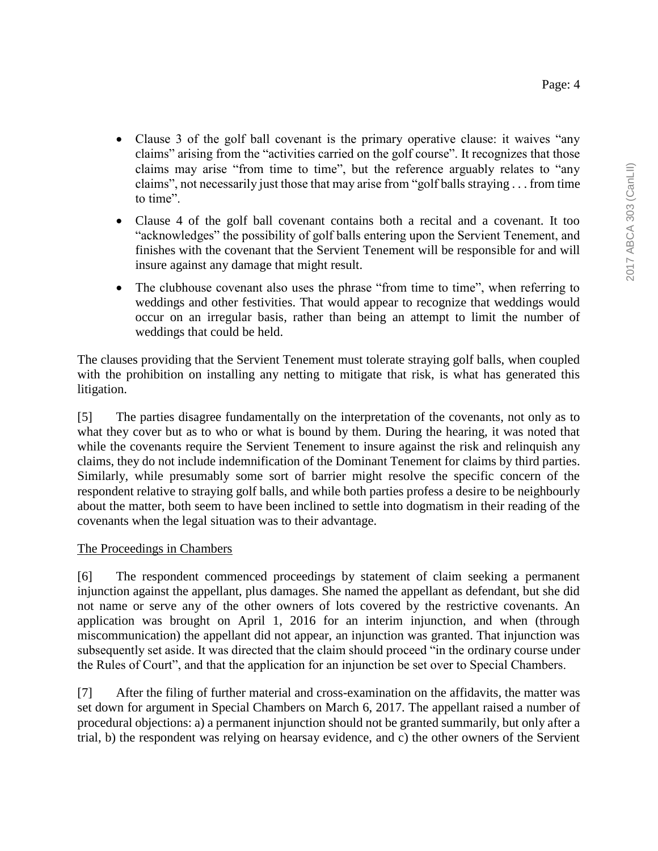- Clause 3 of the golf ball covenant is the primary operative clause: it waives "any claims" arising from the "activities carried on the golf course". It recognizes that those claims may arise "from time to time", but the reference arguably relates to "any claims", not necessarily just those that may arise from "golf balls straying . . . from time to time".
- Clause 4 of the golf ball covenant contains both a recital and a covenant. It too "acknowledges" the possibility of golf balls entering upon the Servient Tenement, and finishes with the covenant that the Servient Tenement will be responsible for and will insure against any damage that might result.
- The clubhouse covenant also uses the phrase "from time to time", when referring to weddings and other festivities. That would appear to recognize that weddings would occur on an irregular basis, rather than being an attempt to limit the number of weddings that could be held.

The clauses providing that the Servient Tenement must tolerate straying golf balls, when coupled with the prohibition on installing any netting to mitigate that risk, is what has generated this litigation.

[5] The parties disagree fundamentally on the interpretation of the covenants, not only as to what they cover but as to who or what is bound by them. During the hearing, it was noted that while the covenants require the Servient Tenement to insure against the risk and relinquish any claims, they do not include indemnification of the Dominant Tenement for claims by third parties. Similarly, while presumably some sort of barrier might resolve the specific concern of the respondent relative to straying golf balls, and while both parties profess a desire to be neighbourly about the matter, both seem to have been inclined to settle into dogmatism in their reading of the covenants when the legal situation was to their advantage.

#### The Proceedings in Chambers

[6] The respondent commenced proceedings by statement of claim seeking a permanent injunction against the appellant, plus damages. She named the appellant as defendant, but she did not name or serve any of the other owners of lots covered by the restrictive covenants. An application was brought on April 1, 2016 for an interim injunction, and when (through miscommunication) the appellant did not appear, an injunction was granted. That injunction was subsequently set aside. It was directed that the claim should proceed "in the ordinary course under the Rules of Court", and that the application for an injunction be set over to Special Chambers.

[7] After the filing of further material and cross-examination on the affidavits, the matter was set down for argument in Special Chambers on March 6, 2017. The appellant raised a number of procedural objections: a) a permanent injunction should not be granted summarily, but only after a trial, b) the respondent was relying on hearsay evidence, and c) the other owners of the Servient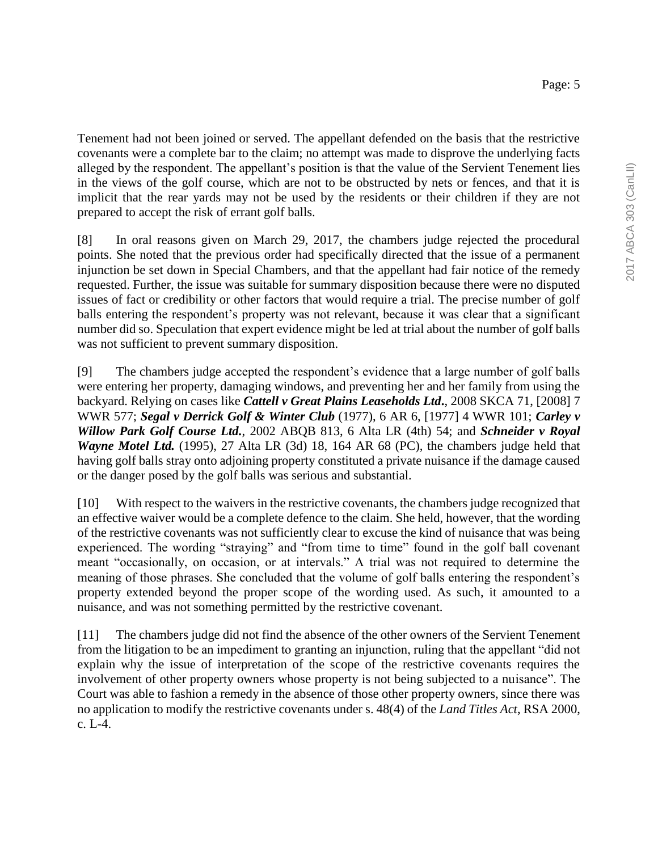Tenement had not been joined or served. The appellant defended on the basis that the restrictive covenants were a complete bar to the claim; no attempt was made to disprove the underlying facts alleged by the respondent. The appellant's position is that the value of the Servient Tenement lies in the views of the golf course, which are not to be obstructed by nets or fences, and that it is implicit that the rear yards may not be used by the residents or their children if they are not prepared to accept the risk of errant golf balls.

[8] In oral reasons given on March 29, 2017, the chambers judge rejected the procedural points. She noted that the previous order had specifically directed that the issue of a permanent injunction be set down in Special Chambers, and that the appellant had fair notice of the remedy requested. Further, the issue was suitable for summary disposition because there were no disputed issues of fact or credibility or other factors that would require a trial. The precise number of golf balls entering the respondent's property was not relevant, because it was clear that a significant number did so. Speculation that expert evidence might be led at trial about the number of golf balls was not sufficient to prevent summary disposition.

[9] The chambers judge accepted the respondent's evidence that a large number of golf balls were entering her property, damaging windows, and preventing her and her family from using the backyard. Relying on cases like *Cattell v Great Plains Leaseholds Ltd***.**, 2008 SKCA 71, [2008] 7 WWR 577; *Segal v Derrick Golf & Winter Club* (1977), 6 AR 6, [1977] 4 WWR 101; *Carley v Willow Park Golf Course Ltd.*, 2002 ABQB 813, 6 Alta LR (4th) 54; and *Schneider v Royal Wayne Motel Ltd.* (1995), 27 Alta LR (3d) 18, 164 AR 68 (PC), the chambers judge held that having golf balls stray onto adjoining property constituted a private nuisance if the damage caused or the danger posed by the golf balls was serious and substantial.

[10] With respect to the waivers in the restrictive covenants, the chambers judge recognized that an effective waiver would be a complete defence to the claim. She held, however, that the wording of the restrictive covenants was not sufficiently clear to excuse the kind of nuisance that was being experienced. The wording "straying" and "from time to time" found in the golf ball covenant meant "occasionally, on occasion, or at intervals." A trial was not required to determine the meaning of those phrases. She concluded that the volume of golf balls entering the respondent's property extended beyond the proper scope of the wording used. As such, it amounted to a nuisance, and was not something permitted by the restrictive covenant.

[11] The chambers judge did not find the absence of the other owners of the Servient Tenement from the litigation to be an impediment to granting an injunction, ruling that the appellant "did not explain why the issue of interpretation of the scope of the restrictive covenants requires the involvement of other property owners whose property is not being subjected to a nuisance". The Court was able to fashion a remedy in the absence of those other property owners, since there was no application to modify the restrictive covenants under s. 48(4) of the *Land Titles Act*, RSA 2000, c. L-4.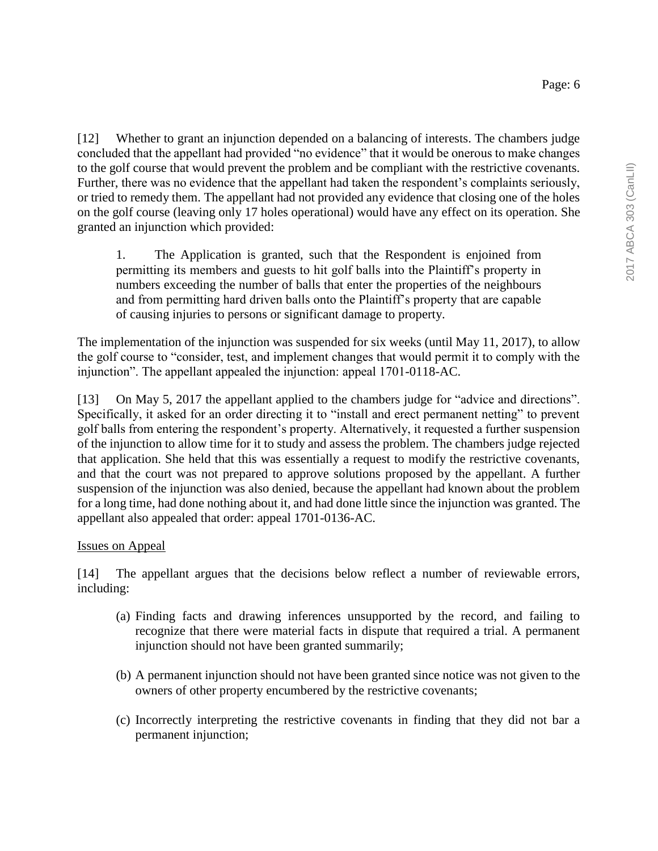[12] Whether to grant an injunction depended on a balancing of interests. The chambers judge concluded that the appellant had provided "no evidence" that it would be onerous to make changes to the golf course that would prevent the problem and be compliant with the restrictive covenants. Further, there was no evidence that the appellant had taken the respondent's complaints seriously, or tried to remedy them. The appellant had not provided any evidence that closing one of the holes on the golf course (leaving only 17 holes operational) would have any effect on its operation. She granted an injunction which provided:

1. The Application is granted, such that the Respondent is enjoined from permitting its members and guests to hit golf balls into the Plaintiff's property in numbers exceeding the number of balls that enter the properties of the neighbours and from permitting hard driven balls onto the Plaintiff's property that are capable of causing injuries to persons or significant damage to property.

The implementation of the injunction was suspended for six weeks (until May 11, 2017), to allow the golf course to "consider, test, and implement changes that would permit it to comply with the injunction". The appellant appealed the injunction: appeal 1701-0118-AC.

[13] On May 5, 2017 the appellant applied to the chambers judge for "advice and directions". Specifically, it asked for an order directing it to "install and erect permanent netting" to prevent golf balls from entering the respondent's property. Alternatively, it requested a further suspension of the injunction to allow time for it to study and assess the problem. The chambers judge rejected that application. She held that this was essentially a request to modify the restrictive covenants, and that the court was not prepared to approve solutions proposed by the appellant. A further suspension of the injunction was also denied, because the appellant had known about the problem for a long time, had done nothing about it, and had done little since the injunction was granted. The appellant also appealed that order: appeal 1701-0136-AC.

## Issues on Appeal

[14] The appellant argues that the decisions below reflect a number of reviewable errors, including:

- (a) Finding facts and drawing inferences unsupported by the record, and failing to recognize that there were material facts in dispute that required a trial. A permanent injunction should not have been granted summarily;
- (b) A permanent injunction should not have been granted since notice was not given to the owners of other property encumbered by the restrictive covenants;
- (c) Incorrectly interpreting the restrictive covenants in finding that they did not bar a permanent injunction;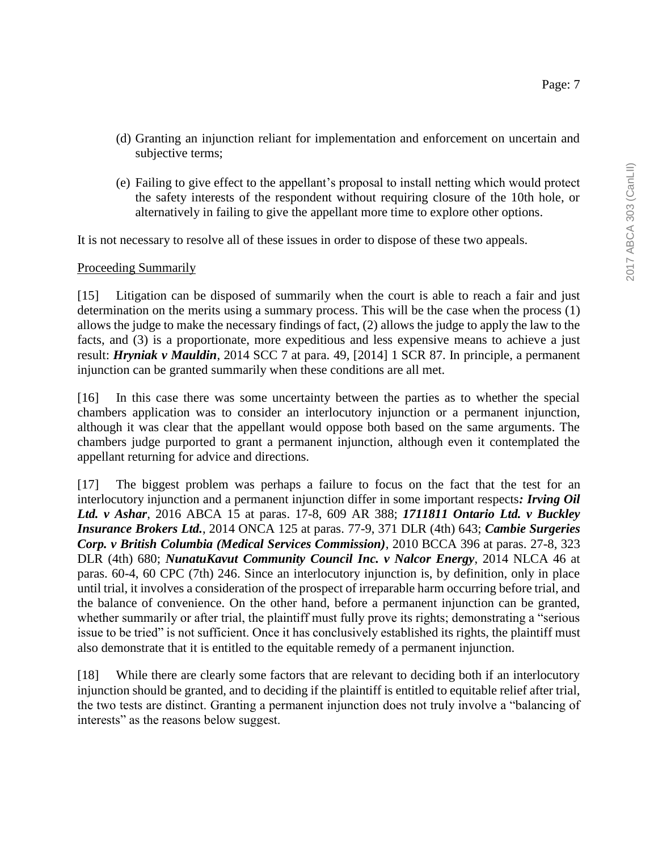- (d) Granting an injunction reliant for implementation and enforcement on uncertain and subjective terms;
- (e) Failing to give effect to the appellant's proposal to install netting which would protect the safety interests of the respondent without requiring closure of the 10th hole, or alternatively in failing to give the appellant more time to explore other options.

It is not necessary to resolve all of these issues in order to dispose of these two appeals.

## Proceeding Summarily

[15] Litigation can be disposed of summarily when the court is able to reach a fair and just determination on the merits using a summary process. This will be the case when the process (1) allows the judge to make the necessary findings of fact, (2) allows the judge to apply the law to the facts, and (3) is a proportionate, more expeditious and less expensive means to achieve a just result: *Hryniak v Mauldin*, 2014 SCC 7 at para. 49, [2014] 1 SCR 87. In principle, a permanent injunction can be granted summarily when these conditions are all met.

[16] In this case there was some uncertainty between the parties as to whether the special chambers application was to consider an interlocutory injunction or a permanent injunction, although it was clear that the appellant would oppose both based on the same arguments. The chambers judge purported to grant a permanent injunction, although even it contemplated the appellant returning for advice and directions.

[17] The biggest problem was perhaps a failure to focus on the fact that the test for an interlocutory injunction and a permanent injunction differ in some important respects*: Irving Oil Ltd. v Ashar*, 2016 ABCA 15 at paras. 17-8, 609 AR 388; *1711811 Ontario Ltd. v Buckley Insurance Brokers Ltd.*, 2014 ONCA 125 at paras. 77-9, 371 DLR (4th) 643; *Cambie Surgeries Corp. v British Columbia (Medical Services Commission)*, 2010 BCCA 396 at paras. 27-8, 323 DLR (4th) 680; *NunatuKavut Community Council Inc. v Nalcor Energy*, 2014 NLCA 46 at paras. 60-4, 60 CPC (7th) 246. Since an interlocutory injunction is, by definition, only in place until trial, it involves a consideration of the prospect of irreparable harm occurring before trial, and the balance of convenience. On the other hand, before a permanent injunction can be granted, whether summarily or after trial, the plaintiff must fully prove its rights; demonstrating a "serious issue to be tried" is not sufficient. Once it has conclusively established its rights, the plaintiff must also demonstrate that it is entitled to the equitable remedy of a permanent injunction.

[18] While there are clearly some factors that are relevant to deciding both if an interlocutory injunction should be granted, and to deciding if the plaintiff is entitled to equitable relief after trial, the two tests are distinct. Granting a permanent injunction does not truly involve a "balancing of interests" as the reasons below suggest.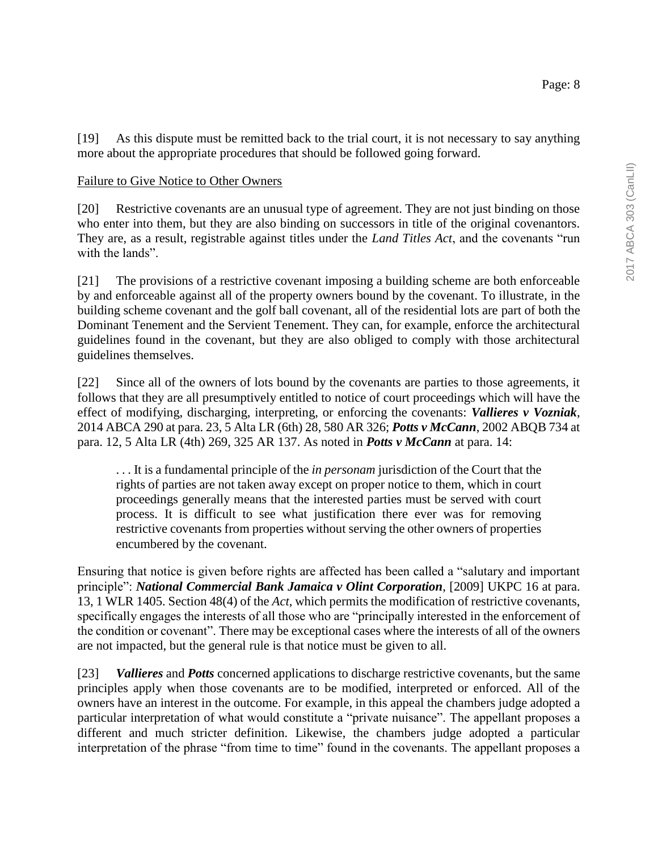[19] As this dispute must be remitted back to the trial court, it is not necessary to say anything more about the appropriate procedures that should be followed going forward.

#### Failure to Give Notice to Other Owners

[20] Restrictive covenants are an unusual type of agreement. They are not just binding on those who enter into them, but they are also binding on successors in title of the original covenantors. They are, as a result, registrable against titles under the *Land Titles Act*, and the covenants "run with the lands"

[21] The provisions of a restrictive covenant imposing a building scheme are both enforceable by and enforceable against all of the property owners bound by the covenant. To illustrate, in the building scheme covenant and the golf ball covenant, all of the residential lots are part of both the Dominant Tenement and the Servient Tenement. They can, for example, enforce the architectural guidelines found in the covenant, but they are also obliged to comply with those architectural guidelines themselves.

[22] Since all of the owners of lots bound by the covenants are parties to those agreements, it follows that they are all presumptively entitled to notice of court proceedings which will have the effect of modifying, discharging, interpreting, or enforcing the covenants: *Vallieres v Vozniak*, 2014 ABCA 290 at para. 23, 5 Alta LR (6th) 28, 580 AR 326; *Potts v McCann*, 2002 ABQB 734 at para. 12, 5 Alta LR (4th) 269, 325 AR 137. As noted in *Potts v McCann* at para. 14:

. . . It is a fundamental principle of the *in personam* jurisdiction of the Court that the rights of parties are not taken away except on proper notice to them, which in court proceedings generally means that the interested parties must be served with court process. It is difficult to see what justification there ever was for removing restrictive covenants from properties without serving the other owners of properties encumbered by the covenant.

Ensuring that notice is given before rights are affected has been called a "salutary and important principle": *National Commercial Bank Jamaica v Olint Corporation*, [2009] UKPC 16 at para. 13, 1 WLR 1405. Section 48(4) of the *Act*, which permits the modification of restrictive covenants, specifically engages the interests of all those who are "principally interested in the enforcement of the condition or covenant". There may be exceptional cases where the interests of all of the owners are not impacted, but the general rule is that notice must be given to all.

[23] *Vallieres* and *Potts* concerned applications to discharge restrictive covenants, but the same principles apply when those covenants are to be modified, interpreted or enforced. All of the owners have an interest in the outcome. For example, in this appeal the chambers judge adopted a particular interpretation of what would constitute a "private nuisance". The appellant proposes a different and much stricter definition. Likewise, the chambers judge adopted a particular interpretation of the phrase "from time to time" found in the covenants. The appellant proposes a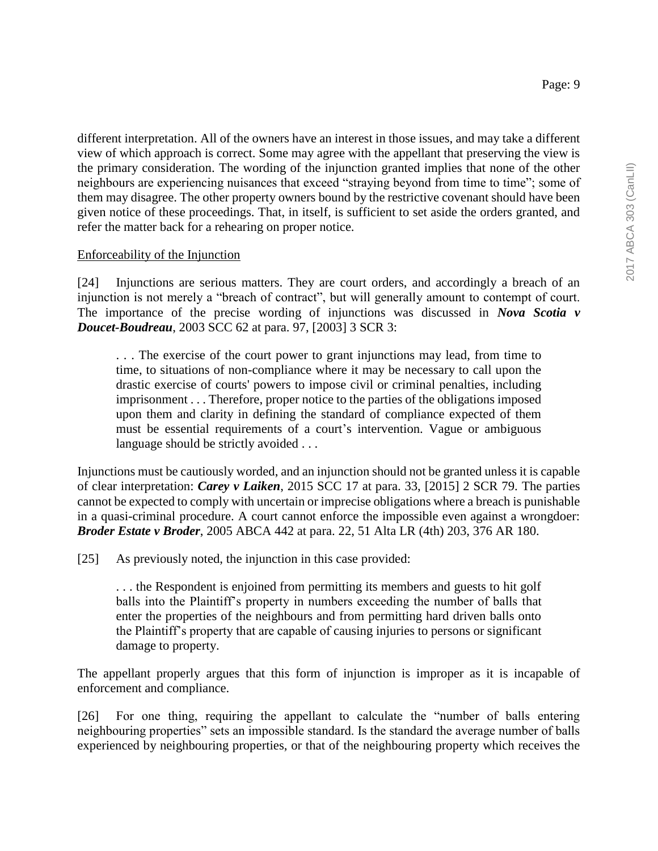different interpretation. All of the owners have an interest in those issues, and may take a different view of which approach is correct. Some may agree with the appellant that preserving the view is the primary consideration. The wording of the injunction granted implies that none of the other neighbours are experiencing nuisances that exceed "straying beyond from time to time"; some of them may disagree. The other property owners bound by the restrictive covenant should have been given notice of these proceedings. That, in itself, is sufficient to set aside the orders granted, and refer the matter back for a rehearing on proper notice.

## Enforceability of the Injunction

[24] Injunctions are serious matters. They are court orders, and accordingly a breach of an injunction is not merely a "breach of contract", but will generally amount to contempt of court. The importance of the precise wording of injunctions was discussed in *Nova Scotia v Doucet-Boudreau*, 2003 SCC 62 at para. 97, [2003] 3 SCR 3:

. . . The exercise of the court power to grant injunctions may lead, from time to time, to situations of non-compliance where it may be necessary to call upon the drastic exercise of courts' powers to impose civil or criminal penalties, including imprisonment . . . Therefore, proper notice to the parties of the obligations imposed upon them and clarity in defining the standard of compliance expected of them must be essential requirements of a court's intervention. Vague or ambiguous language should be strictly avoided ...

Injunctions must be cautiously worded, and an injunction should not be granted unless it is capable of clear interpretation: *Carey v Laiken*, 2015 SCC 17 at para. 33, [2015] 2 SCR 79. The parties cannot be expected to comply with uncertain or imprecise obligations where a breach is punishable in a quasi-criminal procedure. A court cannot enforce the impossible even against a wrongdoer: *Broder Estate v Broder*, 2005 ABCA 442 at para. 22, 51 Alta LR (4th) 203, 376 AR 180.

[25] As previously noted, the injunction in this case provided:

. . . the Respondent is enjoined from permitting its members and guests to hit golf balls into the Plaintiff's property in numbers exceeding the number of balls that enter the properties of the neighbours and from permitting hard driven balls onto the Plaintiff's property that are capable of causing injuries to persons or significant damage to property.

The appellant properly argues that this form of injunction is improper as it is incapable of enforcement and compliance.

[26] For one thing, requiring the appellant to calculate the "number of balls entering neighbouring properties" sets an impossible standard. Is the standard the average number of balls experienced by neighbouring properties, or that of the neighbouring property which receives the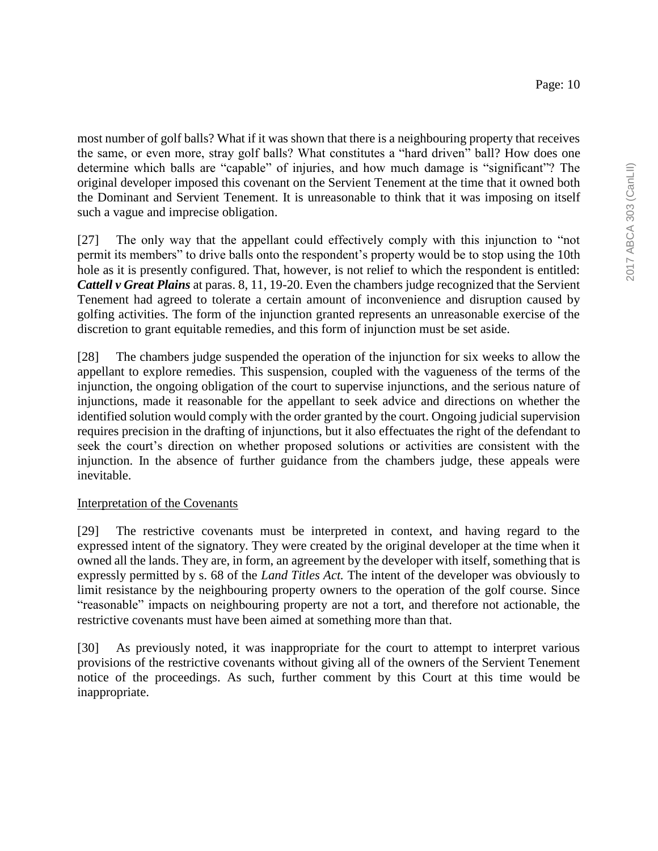most number of golf balls? What if it was shown that there is a neighbouring property that receives the same, or even more, stray golf balls? What constitutes a "hard driven" ball? How does one determine which balls are "capable" of injuries, and how much damage is "significant"? The original developer imposed this covenant on the Servient Tenement at the time that it owned both the Dominant and Servient Tenement. It is unreasonable to think that it was imposing on itself such a vague and imprecise obligation.

[27] The only way that the appellant could effectively comply with this injunction to "not permit its members" to drive balls onto the respondent's property would be to stop using the 10th hole as it is presently configured. That, however, is not relief to which the respondent is entitled: *Cattell v Great Plains* at paras. 8, 11, 19-20. Even the chambers judge recognized that the Servient Tenement had agreed to tolerate a certain amount of inconvenience and disruption caused by golfing activities. The form of the injunction granted represents an unreasonable exercise of the discretion to grant equitable remedies, and this form of injunction must be set aside.

[28] The chambers judge suspended the operation of the injunction for six weeks to allow the appellant to explore remedies. This suspension, coupled with the vagueness of the terms of the injunction, the ongoing obligation of the court to supervise injunctions, and the serious nature of injunctions, made it reasonable for the appellant to seek advice and directions on whether the identified solution would comply with the order granted by the court. Ongoing judicial supervision requires precision in the drafting of injunctions, but it also effectuates the right of the defendant to seek the court's direction on whether proposed solutions or activities are consistent with the injunction. In the absence of further guidance from the chambers judge, these appeals were inevitable.

#### Interpretation of the Covenants

[29] The restrictive covenants must be interpreted in context, and having regard to the expressed intent of the signatory. They were created by the original developer at the time when it owned all the lands. They are, in form, an agreement by the developer with itself, something that is expressly permitted by s. 68 of the *Land Titles Act.* The intent of the developer was obviously to limit resistance by the neighbouring property owners to the operation of the golf course. Since "reasonable" impacts on neighbouring property are not a tort, and therefore not actionable, the restrictive covenants must have been aimed at something more than that.

[30] As previously noted, it was inappropriate for the court to attempt to interpret various provisions of the restrictive covenants without giving all of the owners of the Servient Tenement notice of the proceedings. As such, further comment by this Court at this time would be inappropriate.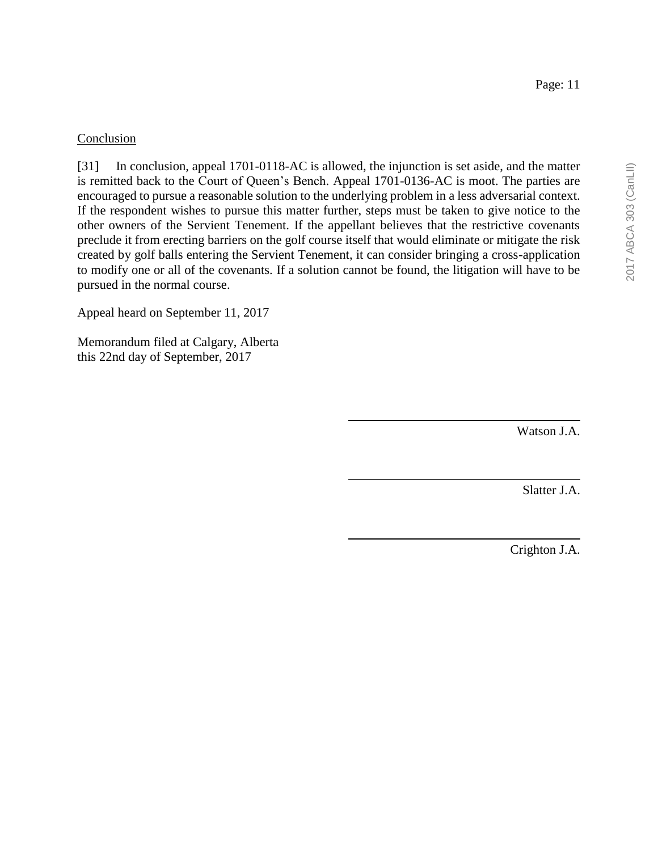### Conclusion

[31] In conclusion, appeal 1701-0118-AC is allowed, the injunction is set aside, and the matter is remitted back to the Court of Queen's Bench. Appeal 1701-0136-AC is moot. The parties are encouraged to pursue a reasonable solution to the underlying problem in a less adversarial context. If the respondent wishes to pursue this matter further, steps must be taken to give notice to the other owners of the Servient Tenement. If the appellant believes that the restrictive covenants preclude it from erecting barriers on the golf course itself that would eliminate or mitigate the risk created by golf balls entering the Servient Tenement, it can consider bringing a cross-application to modify one or all of the covenants. If a solution cannot be found, the litigation will have to be pursued in the normal course.

Appeal heard on September 11, 2017

Memorandum filed at Calgary, Alberta this 22nd day of September, 2017

Watson J.A.

Slatter J.A.

Crighton J.A.